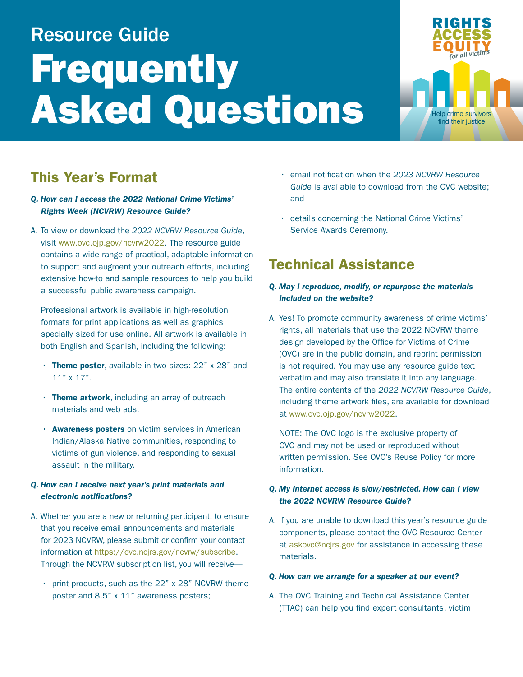# Resource Guide **Frequently** Asked Questions



# This Year's Format

# *Q. How can I access the 2022 National Crime Victims' Rights Week (NCVRW) Resource Guide?*

A. To view or download the *2022 NCVRW Resource Guide*, visit [www.ovc.ojp.gov/ncvrw2022](http://www.ovc.ojp.gov/ncvrw2022). The resource guide contains a wide range of practical, adaptable information to support and augment your outreach efforts, including extensive how-to and sample resources to help you build a successful public awareness campaign.

Professional artwork is available in high-resolution formats for print applications as well as graphics specially sized for use online. All artwork is available in both English and Spanish, including the following:

- Theme poster, available in two sizes: 22" x 28" and 11" x 17".
- Theme artwork, including an array of outreach materials and web ads.
- **Awareness posters** on victim services in American Indian/Alaska Native communities, responding to victims of gun violence, and responding to sexual assault in the military.

# *Q. How can I receive next year's print materials and electronic notifications?*

- A. Whether you are a new or returning participant, to ensure that you receive email announcements and materials for 2023 NCVRW, please submit or confirm your contact information at <https://ovc.ncjrs.gov/ncvrw/subscribe>. Through the NCVRW subscription list, you will receive—
	- print products, such as the 22" x 28" NCVRW theme poster and 8.5" x 11" awareness posters;
- email notification when the *2023 NCVRW Resource Guide* is available to download from the OVC website; and
- details concerning the National Crime Victims' Service Awards Ceremony.

# Technical Assistance

# *Q. May I reproduce, modify, or repurpose the materials included on the website?*

A. Yes! To promote community awareness of crime victims' rights, all materials that use the 2022 NCVRW theme design developed by the Office for Victims of Crime (OVC) are in the public domain, and reprint permission is not required. You may use any resource guide text verbatim and may also translate it into any language. The entire contents of the *2022 NCVRW Resource Guide*, including theme artwork files, are available for download at [www.ovc.ojp.gov/ncvrw2022](http://www.ovc.ojp.gov/ncvrw2022).

NOTE: The OVC logo is the exclusive property of OVC and may not be used or reproduced without written permission. See OVC's Reuse Policy for more information.

# *Q. My Internet access is slow/restricted. How can I view the 2022 NCVRW Resource Guide?*

A. If you are unable to download this year's resource guide components, please contact the OVC Resource Center at [askovc@ncjrs.gov](mailto:askovc%40ncjrs.gov?subject=) for assistance in accessing these materials.

#### *Q. How can we arrange for a speaker at our event?*

A. The OVC Training and Technical Assistance Center (TTAC) can help you find expert consultants, victim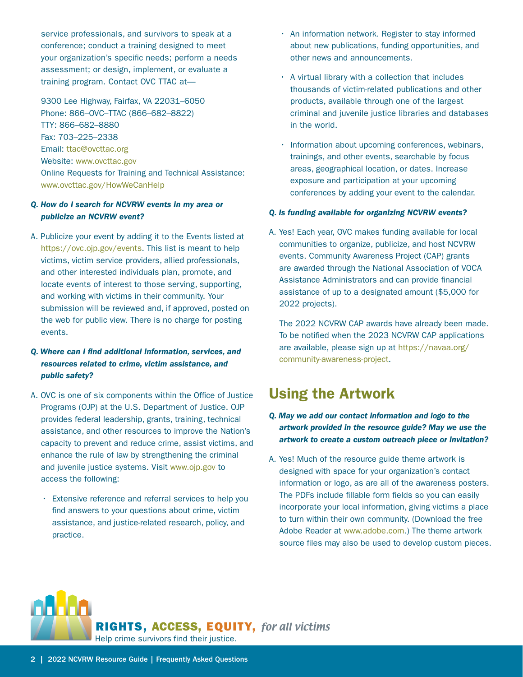service professionals, and survivors to speak at a conference; conduct a training designed to meet your organization's specific needs; perform a needs assessment; or design, implement, or evaluate a training program. Contact OVC TTAC at—

9300 Lee Highway, Fairfax, VA 22031–6050 Phone: 866–OVC–TTAC (866–682–8822) TTY: 866–682–8880 Fax: 703–225–2338 Email: [ttac@ovcttac.org](mailto:ttac%40ovcttac.org?subject=) Website: [www.ovcttac.gov](http://www.ovcttac.gov)  Online Requests for Training and Technical Assistance: [www.ovcttac.gov/HowWeCanHelp](http://www.ovcttac.gov/HowWeCanHelp) 

#### *Q. How do I search for NCVRW events in my area or publicize an NCVRW event?*

A. Publicize your event by adding it to the Events listed at [https://ovc.ojp.gov/events.](https://ovc.ojp.gov/events) This list is meant to help victims, victim service providers, allied professionals, and other interested individuals plan, promote, and locate events of interest to those serving, supporting, and working with victims in their community. Your submission will be reviewed and, if approved, posted on the web for public view. There is no charge for posting events.

# *Q. Where can I find additional information, services, and resources related to crime, victim assistance, and public safety?*

- A. OVC is one of six components within the Office of Justice Programs (OJP) at the U.S. Department of Justice. OJP provides federal leadership, grants, training, technical assistance, and other resources to improve the Nation's capacity to prevent and reduce crime, assist victims, and enhance the rule of law by strengthening the criminal and juvenile justice systems. Visit [www.ojp.gov](http://www.ojp.gov) to access the following:
	- Extensive reference and referral services to help you find answers to your questions about crime, victim assistance, and justice-related research, policy, and practice.
- An information network. Register to stay informed about new publications, funding opportunities, and other news and announcements.
- A virtual library with a collection that includes thousands of victim-related publications and other products, available through one of the largest criminal and juvenile justice libraries and databases in the world.
- Information about upcoming conferences, webinars, trainings, and other events, searchable by focus areas, geographical location, or dates. Increase exposure and participation at your upcoming conferences by adding your event to the calendar.

## *Q. Is funding available for organizing NCVRW events?*

A. Yes! Each year, OVC makes funding available for local communities to organize, publicize, and host NCVRW events. Community Awareness Project (CAP) grants are awarded through the National Association of VOCA Assistance Administrators and can provide financial assistance of up to a designated amount (\$5,000 for 2022 projects).

The 2022 NCVRW CAP awards have already been made. To be notified when the 2023 NCVRW CAP applications are available, please sign up at [https://navaa.org/](https://navaa.org/community-awareness-project) [community-awareness-project.](https://navaa.org/community-awareness-project)

# Using the Artwork

- *Q. May we add our contact information and logo to the artwork provided in the resource guide? May we use the artwork to create a custom outreach piece or invitation?*
- A. Yes! Much of the resource guide theme artwork is designed with space for your organization's contact information or logo, as are all of the awareness posters. The PDFs include fillable form fields so you can easily incorporate your local information, giving victims a place to turn within their own community. (Download the free Adobe Reader at [www.adobe.com](http://www.adobe.com).) The theme artwork source files may also be used to develop custom pieces.